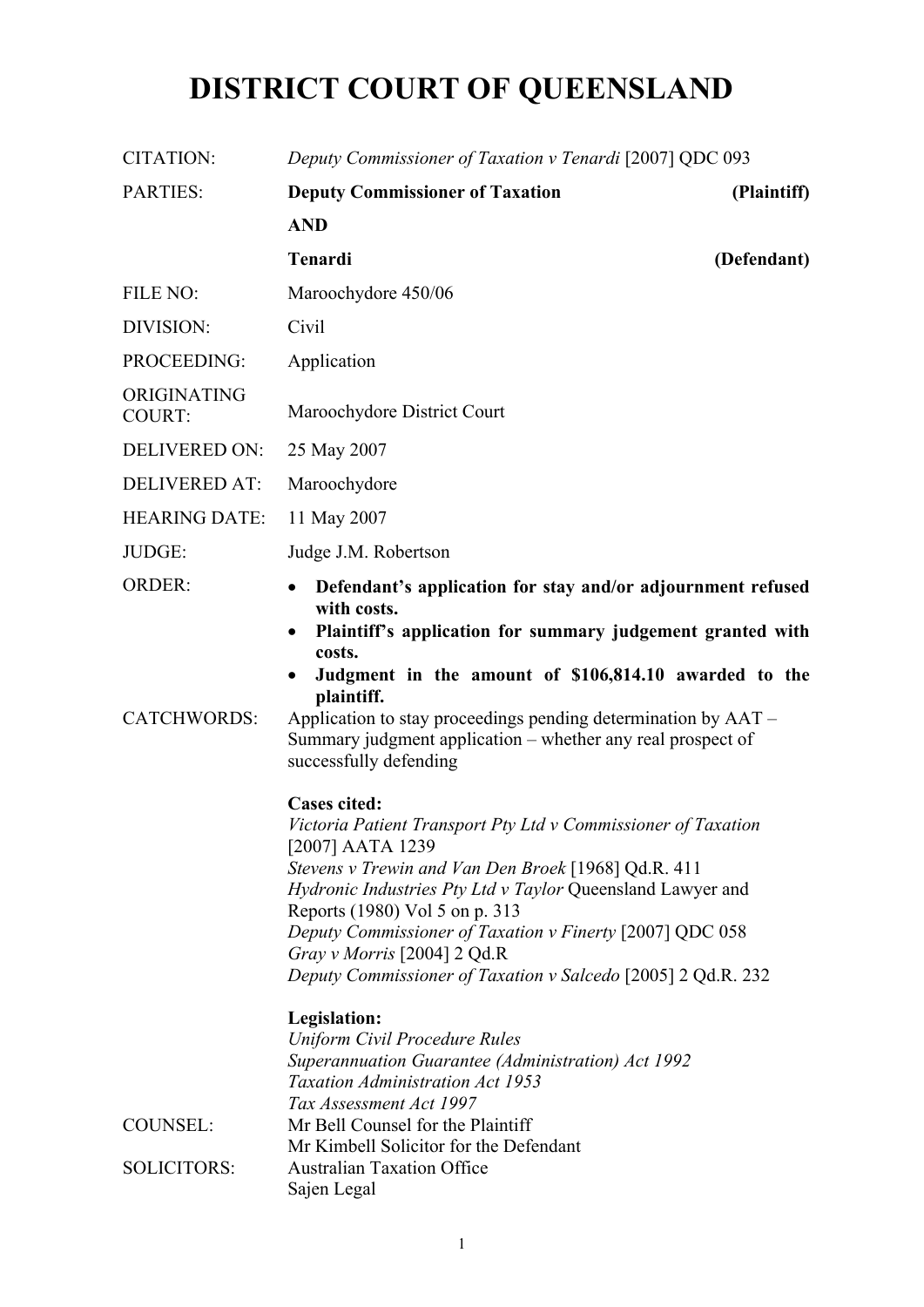# **DISTRICT COURT OF QUEENSLAND**

| <b>CITATION:</b>                      | Deputy Commissioner of Taxation v Tenardi [2007] QDC 093                                                                                                                                                                                                                                                                                                                                                                   |
|---------------------------------------|----------------------------------------------------------------------------------------------------------------------------------------------------------------------------------------------------------------------------------------------------------------------------------------------------------------------------------------------------------------------------------------------------------------------------|
| <b>PARTIES:</b>                       | <b>Deputy Commissioner of Taxation</b><br>(Plaintiff)                                                                                                                                                                                                                                                                                                                                                                      |
|                                       | <b>AND</b>                                                                                                                                                                                                                                                                                                                                                                                                                 |
|                                       | <b>Tenardi</b><br>(Defendant)                                                                                                                                                                                                                                                                                                                                                                                              |
| FILE NO:                              | Maroochydore 450/06                                                                                                                                                                                                                                                                                                                                                                                                        |
| DIVISION:                             | Civil                                                                                                                                                                                                                                                                                                                                                                                                                      |
| PROCEEDING:                           | Application                                                                                                                                                                                                                                                                                                                                                                                                                |
| ORIGINATING<br><b>COURT:</b>          | Maroochydore District Court                                                                                                                                                                                                                                                                                                                                                                                                |
| <b>DELIVERED ON:</b>                  | 25 May 2007                                                                                                                                                                                                                                                                                                                                                                                                                |
| <b>DELIVERED AT:</b>                  | Maroochydore                                                                                                                                                                                                                                                                                                                                                                                                               |
| <b>HEARING DATE:</b>                  | 11 May 2007                                                                                                                                                                                                                                                                                                                                                                                                                |
| JUDGE:                                | Judge J.M. Robertson                                                                                                                                                                                                                                                                                                                                                                                                       |
| <b>ORDER:</b><br><b>CATCHWORDS:</b>   | Defendant's application for stay and/or adjournment refused<br>$\bullet$<br>with costs.<br>Plaintiff's application for summary judgement granted with<br>٠<br>costs.<br>Judgment in the amount of \$106,814.10 awarded to the<br>$\bullet$<br>plaintiff.<br>Application to stay proceedings pending determination by AAT –<br>Summary judgment application – whether any real prospect of<br>successfully defending        |
|                                       | <b>Cases cited:</b><br>Victoria Patient Transport Pty Ltd v Commissioner of Taxation<br>[2007] AATA 1239<br>Stevens v Trewin and Van Den Broek [1968] Qd.R. 411<br>Hydronic Industries Pty Ltd v Taylor Queensland Lawyer and<br>Reports (1980) Vol 5 on p. 313<br>Deputy Commissioner of Taxation v Finerty [2007] QDC 058<br>Gray v Morris [2004] 2 Qd.R<br>Deputy Commissioner of Taxation v Salcedo [2005] 2 Qd.R. 232 |
| <b>COUNSEL:</b><br><b>SOLICITORS:</b> | Legislation:<br><b>Uniform Civil Procedure Rules</b><br>Superannuation Guarantee (Administration) Act 1992<br><b>Taxation Administration Act 1953</b><br>Tax Assessment Act 1997<br>Mr Bell Counsel for the Plaintiff<br>Mr Kimbell Solicitor for the Defendant<br><b>Australian Taxation Office</b><br>Sajen Legal                                                                                                        |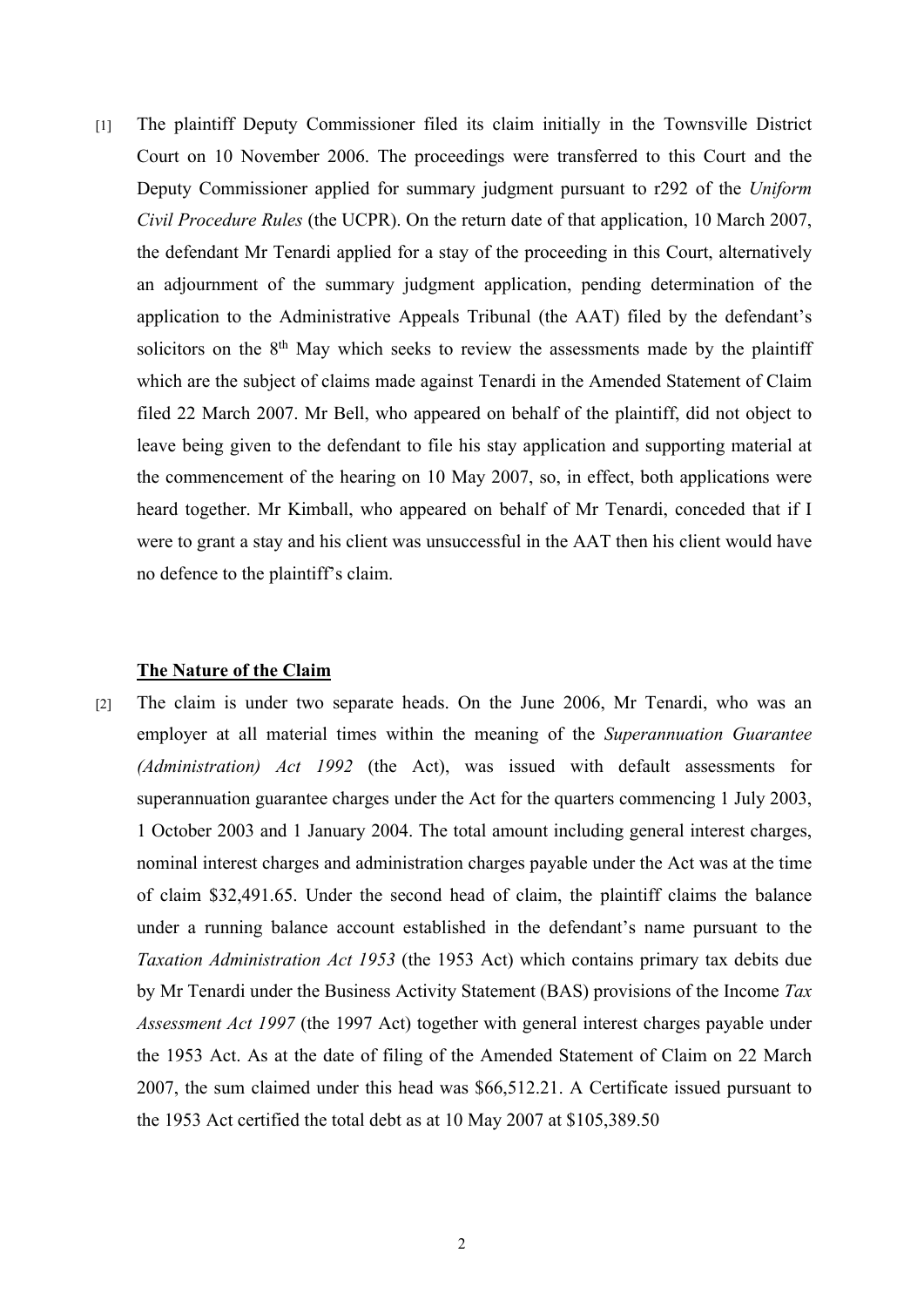[1] The plaintiff Deputy Commissioner filed its claim initially in the Townsville District Court on 10 November 2006. The proceedings were transferred to this Court and the Deputy Commissioner applied for summary judgment pursuant to r292 of the *Uniform Civil Procedure Rules* (the UCPR). On the return date of that application, 10 March 2007, the defendant Mr Tenardi applied for a stay of the proceeding in this Court, alternatively an adjournment of the summary judgment application, pending determination of the application to the Administrative Appeals Tribunal (the AAT) filed by the defendant's solicitors on the 8<sup>th</sup> May which seeks to review the assessments made by the plaintiff which are the subject of claims made against Tenardi in the Amended Statement of Claim filed 22 March 2007. Mr Bell, who appeared on behalf of the plaintiff, did not object to leave being given to the defendant to file his stay application and supporting material at the commencement of the hearing on 10 May 2007, so, in effect, both applications were heard together. Mr Kimball, who appeared on behalf of Mr Tenardi, conceded that if I were to grant a stay and his client was unsuccessful in the AAT then his client would have no defence to the plaintiff's claim.

#### **The Nature of the Claim**

[2] The claim is under two separate heads. On the June 2006, Mr Tenardi, who was an employer at all material times within the meaning of the *Superannuation Guarantee (Administration) Act 1992* (the Act), was issued with default assessments for superannuation guarantee charges under the Act for the quarters commencing 1 July 2003, 1 October 2003 and 1 January 2004. The total amount including general interest charges, nominal interest charges and administration charges payable under the Act was at the time of claim \$32,491.65. Under the second head of claim, the plaintiff claims the balance under a running balance account established in the defendant's name pursuant to the *Taxation Administration Act 1953* (the 1953 Act) which contains primary tax debits due by Mr Tenardi under the Business Activity Statement (BAS) provisions of the Income *Tax Assessment Act 1997* (the 1997 Act) together with general interest charges payable under the 1953 Act. As at the date of filing of the Amended Statement of Claim on 22 March 2007, the sum claimed under this head was \$66,512.21. A Certificate issued pursuant to the 1953 Act certified the total debt as at 10 May 2007 at \$105,389.50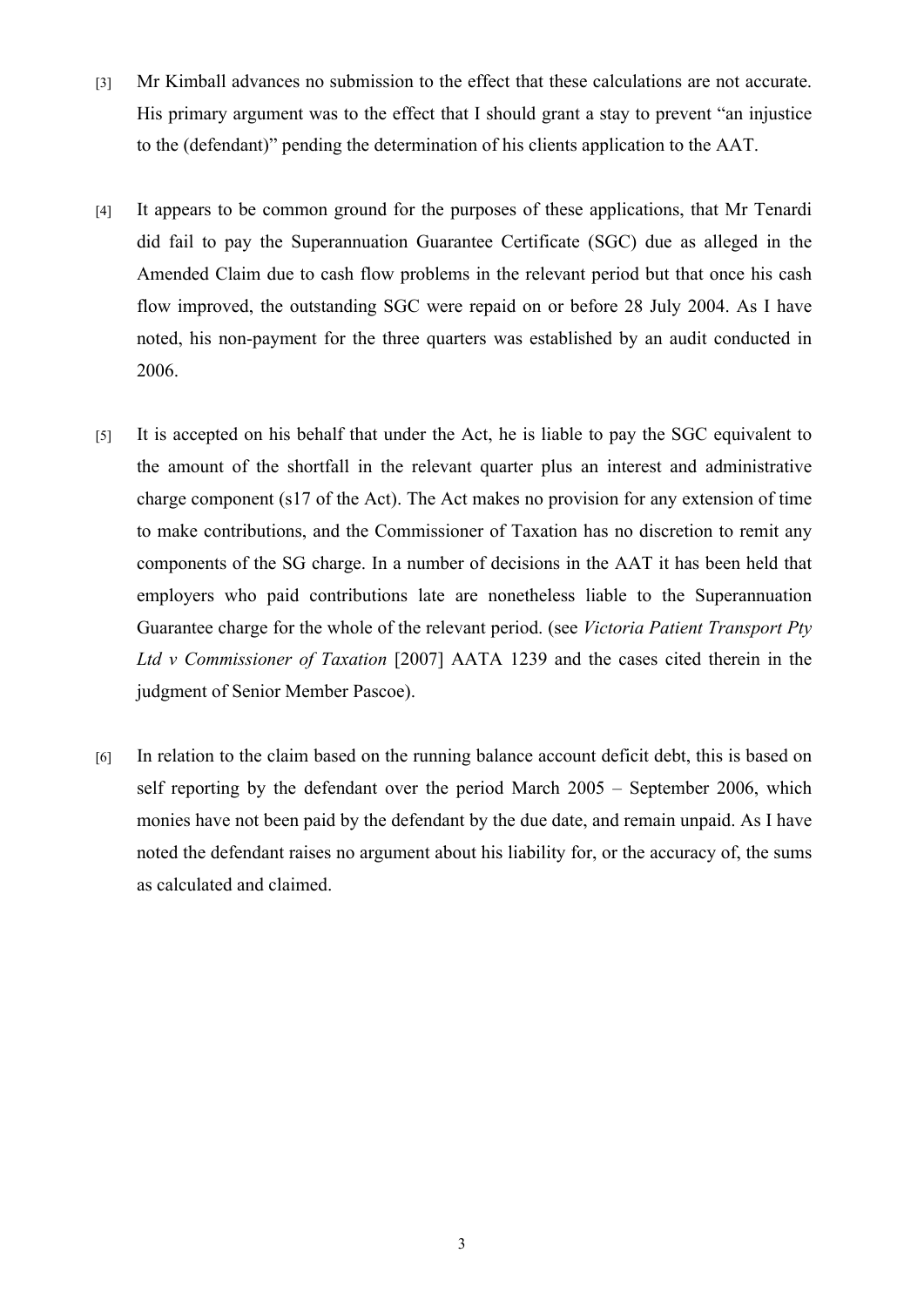- [3] Mr Kimball advances no submission to the effect that these calculations are not accurate. His primary argument was to the effect that I should grant a stay to prevent "an injustice to the (defendant)" pending the determination of his clients application to the AAT.
- [4] It appears to be common ground for the purposes of these applications, that Mr Tenardi did fail to pay the Superannuation Guarantee Certificate (SGC) due as alleged in the Amended Claim due to cash flow problems in the relevant period but that once his cash flow improved, the outstanding SGC were repaid on or before 28 July 2004. As I have noted, his non-payment for the three quarters was established by an audit conducted in 2006.
- [5] It is accepted on his behalf that under the Act, he is liable to pay the SGC equivalent to the amount of the shortfall in the relevant quarter plus an interest and administrative charge component (s17 of the Act). The Act makes no provision for any extension of time to make contributions, and the Commissioner of Taxation has no discretion to remit any components of the SG charge. In a number of decisions in the AAT it has been held that employers who paid contributions late are nonetheless liable to the Superannuation Guarantee charge for the whole of the relevant period. (see *Victoria Patient Transport Pty Ltd v Commissioner of Taxation* [2007] AATA 1239 and the cases cited therein in the judgment of Senior Member Pascoe).
- [6] In relation to the claim based on the running balance account deficit debt, this is based on self reporting by the defendant over the period March 2005 – September 2006, which monies have not been paid by the defendant by the due date, and remain unpaid. As I have noted the defendant raises no argument about his liability for, or the accuracy of, the sums as calculated and claimed.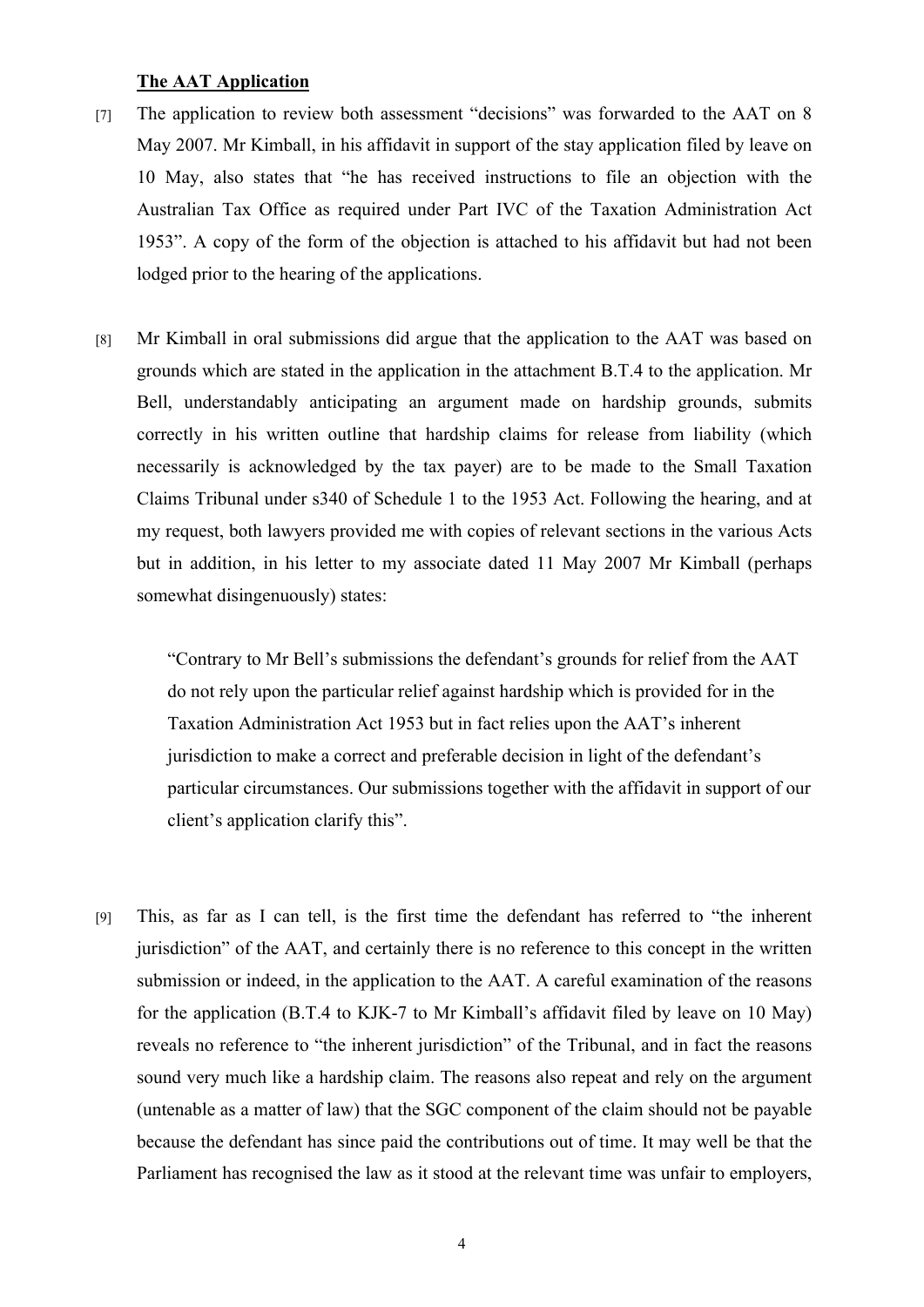## **The AAT Application**

- [7] The application to review both assessment "decisions" was forwarded to the AAT on 8 May 2007. Mr Kimball, in his affidavit in support of the stay application filed by leave on 10 May, also states that "he has received instructions to file an objection with the Australian Tax Office as required under Part IVC of the Taxation Administration Act 1953". A copy of the form of the objection is attached to his affidavit but had not been lodged prior to the hearing of the applications.
- [8] Mr Kimball in oral submissions did argue that the application to the AAT was based on grounds which are stated in the application in the attachment B.T.4 to the application. Mr Bell, understandably anticipating an argument made on hardship grounds, submits correctly in his written outline that hardship claims for release from liability (which necessarily is acknowledged by the tax payer) are to be made to the Small Taxation Claims Tribunal under s340 of Schedule 1 to the 1953 Act. Following the hearing, and at my request, both lawyers provided me with copies of relevant sections in the various Acts but in addition, in his letter to my associate dated 11 May 2007 Mr Kimball (perhaps somewhat disingenuously) states:

"Contrary to Mr Bell's submissions the defendant's grounds for relief from the AAT do not rely upon the particular relief against hardship which is provided for in the Taxation Administration Act 1953 but in fact relies upon the AAT's inherent jurisdiction to make a correct and preferable decision in light of the defendant's particular circumstances. Our submissions together with the affidavit in support of our client's application clarify this".

[9] This, as far as I can tell, is the first time the defendant has referred to "the inherent jurisdiction" of the AAT, and certainly there is no reference to this concept in the written submission or indeed, in the application to the AAT. A careful examination of the reasons for the application (B.T.4 to KJK-7 to Mr Kimball's affidavit filed by leave on 10 May) reveals no reference to "the inherent jurisdiction" of the Tribunal, and in fact the reasons sound very much like a hardship claim. The reasons also repeat and rely on the argument (untenable as a matter of law) that the SGC component of the claim should not be payable because the defendant has since paid the contributions out of time. It may well be that the Parliament has recognised the law as it stood at the relevant time was unfair to employers,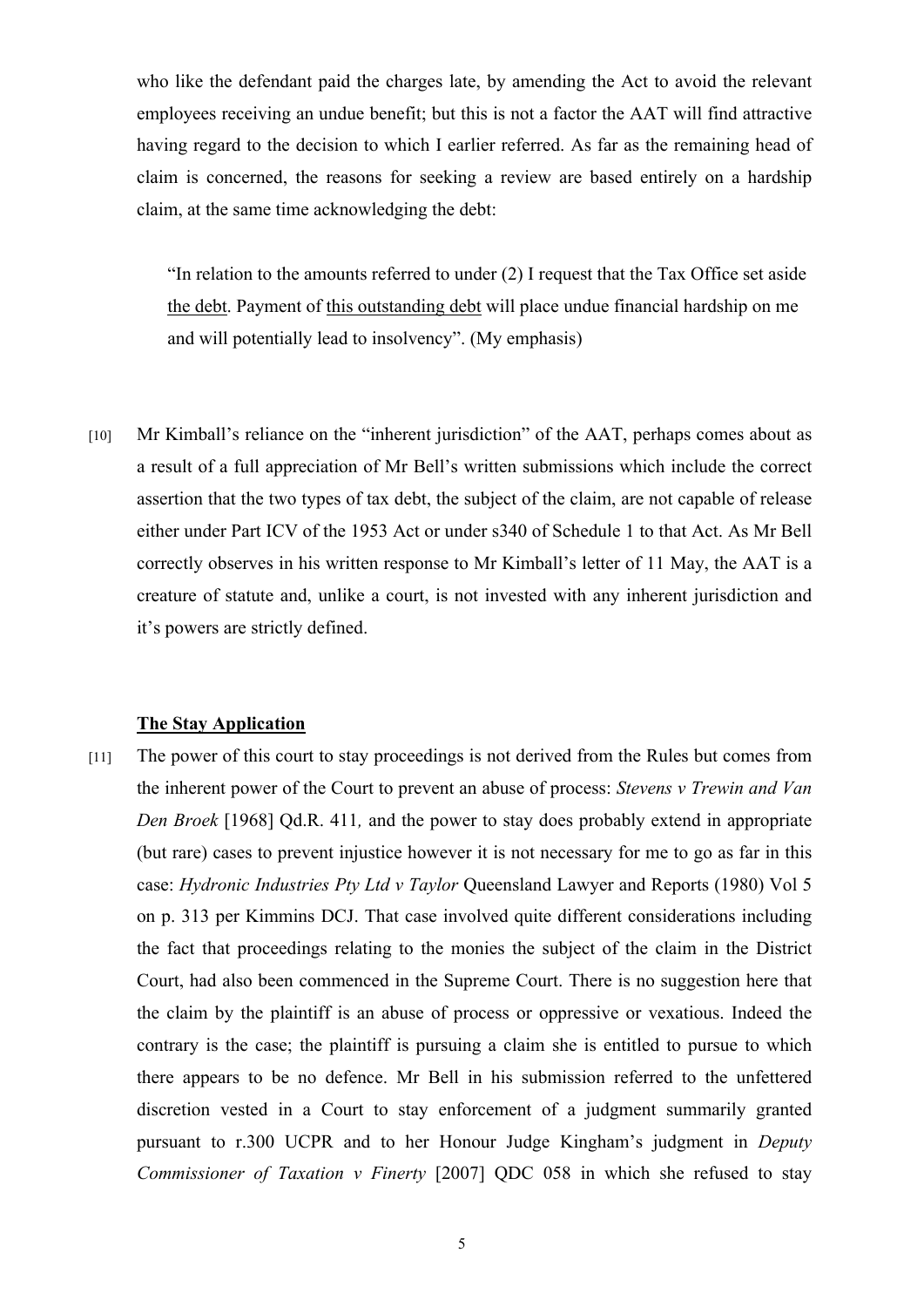who like the defendant paid the charges late, by amending the Act to avoid the relevant employees receiving an undue benefit; but this is not a factor the AAT will find attractive having regard to the decision to which I earlier referred. As far as the remaining head of claim is concerned, the reasons for seeking a review are based entirely on a hardship claim, at the same time acknowledging the debt:

"In relation to the amounts referred to under (2) I request that the Tax Office set aside the debt. Payment of this outstanding debt will place undue financial hardship on me and will potentially lead to insolvency". (My emphasis)

[10] Mr Kimball's reliance on the "inherent jurisdiction" of the AAT, perhaps comes about as a result of a full appreciation of Mr Bell's written submissions which include the correct assertion that the two types of tax debt, the subject of the claim, are not capable of release either under Part ICV of the 1953 Act or under s340 of Schedule 1 to that Act. As Mr Bell correctly observes in his written response to Mr Kimball's letter of 11 May, the AAT is a creature of statute and, unlike a court, is not invested with any inherent jurisdiction and it's powers are strictly defined.

#### **The Stay Application**

[11] The power of this court to stay proceedings is not derived from the Rules but comes from the inherent power of the Court to prevent an abuse of process: *Stevens v Trewin and Van Den Broek* [1968] Qd.R. 411*,* and the power to stay does probably extend in appropriate (but rare) cases to prevent injustice however it is not necessary for me to go as far in this case: *Hydronic Industries Pty Ltd v Taylor* Queensland Lawyer and Reports (1980) Vol 5 on p. 313 per Kimmins DCJ. That case involved quite different considerations including the fact that proceedings relating to the monies the subject of the claim in the District Court, had also been commenced in the Supreme Court. There is no suggestion here that the claim by the plaintiff is an abuse of process or oppressive or vexatious. Indeed the contrary is the case; the plaintiff is pursuing a claim she is entitled to pursue to which there appears to be no defence. Mr Bell in his submission referred to the unfettered discretion vested in a Court to stay enforcement of a judgment summarily granted pursuant to r.300 UCPR and to her Honour Judge Kingham's judgment in *Deputy Commissioner of Taxation v Finerty* [2007] QDC 058 in which she refused to stay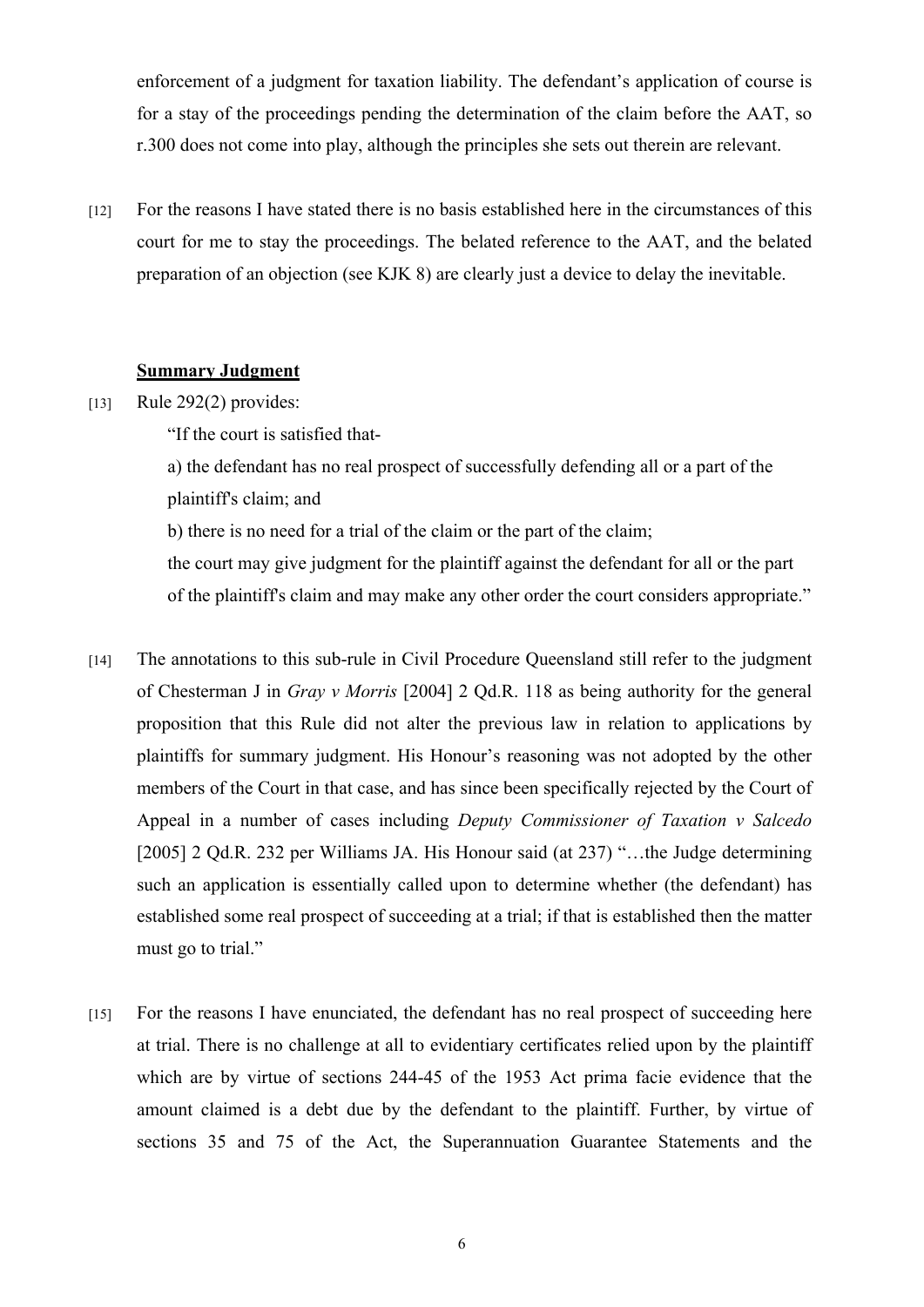enforcement of a judgment for taxation liability. The defendant's application of course is for a stay of the proceedings pending the determination of the claim before the AAT, so r.300 does not come into play, although the principles she sets out therein are relevant.

[12] For the reasons I have stated there is no basis established here in the circumstances of this court for me to stay the proceedings. The belated reference to the AAT, and the belated preparation of an objection (see KJK 8) are clearly just a device to delay the inevitable.

### **Summary Judgment**

- [13] Rule 292(2) provides:
	- "If the court is satisfied that-

a) the defendant has no real prospect of successfully defending all or a part of the plaintiff's claim; and

b) there is no need for a trial of the claim or the part of the claim;

the court may give judgment for the plaintiff against the defendant for all or the part of the plaintiff's claim and may make any other order the court considers appropriate."

- [14] The annotations to this sub-rule in Civil Procedure Queensland still refer to the judgment of Chesterman J in *Gray v Morris* [2004] 2 Qd.R. 118 as being authority for the general proposition that this Rule did not alter the previous law in relation to applications by plaintiffs for summary judgment. His Honour's reasoning was not adopted by the other members of the Court in that case, and has since been specifically rejected by the Court of Appeal in a number of cases including *Deputy Commissioner of Taxation v Salcedo* [2005] 2 Qd.R. 232 per Williams JA. His Honour said (at 237) "...the Judge determining such an application is essentially called upon to determine whether (the defendant) has established some real prospect of succeeding at a trial; if that is established then the matter must go to trial."
- [15] For the reasons I have enunciated, the defendant has no real prospect of succeeding here at trial. There is no challenge at all to evidentiary certificates relied upon by the plaintiff which are by virtue of sections 244-45 of the 1953 Act prima facie evidence that the amount claimed is a debt due by the defendant to the plaintiff. Further, by virtue of sections 35 and 75 of the Act, the Superannuation Guarantee Statements and the